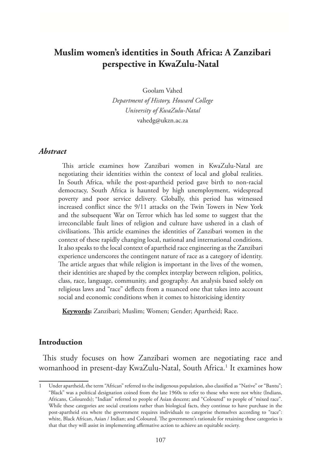# **Muslim women's identities in South Africa: A Zanzibari perspective in KwaZulu-Natal**

Goolam Vahed

*Department of History, Howard College University of KwaZulu-Natal* vahedg@ukzn.ac.za

#### *Abstract*

This article examines how Zanzibari women in KwaZulu-Natal are negotiating their identities within the context of local and global realities. In South Africa, while the post-apartheid period gave birth to non-racial democracy, South Africa is haunted by high unemployment, widespread poverty and poor service delivery. Globally, this period has witnessed increased conflict since the 9/11 attacks on the Twin Towers in New York and the subsequent War on Terror which has led some to suggest that the irreconcilable fault lines of religion and culture have ushered in a clash of civilisations. This article examines the identities of Zanzibari women in the context of these rapidly changing local, national and international conditions. It also speaks to the local context of apartheid race engineering as the Zanzibari experience underscores the contingent nature of race as a category of identity. The article argues that while religion is important in the lives of the women, their identities are shaped by the complex interplay between religion, politics, class, race, language, community, and geography. An analysis based solely on religious laws and "race" deflects from a nuanced one that takes into account social and economic conditions when it comes to historicising identity

**Keywords:** Zanzibari; Muslim; Women; Gender; Apartheid; Race.

#### **Introduction**

This study focuses on how Zanzibari women are negotiating race and womanhood in present-day KwaZulu-Natal, South Africa.<sup>1</sup> It examines how

Under apartheid, the term "African" referred to the indigenous population, also classified as "Native" or "Bantu"; "Black" was a political designation coined from the late 1960s to refer to those who were not white (Indians, Africans, Coloureds); "Indian" referred to people of Asian descent; and "Coloured" to people of "mixed race". While these categories are social creations rather than biological facts, they continue to have purchase in the post-apartheid era where the government requires individuals to categorise themselves according to "race": white, Black African, Asian / Indian; and Coloured. The government's rationale for retaining these categories is that that they will assist in implementing affirmative action to achieve an equitable society.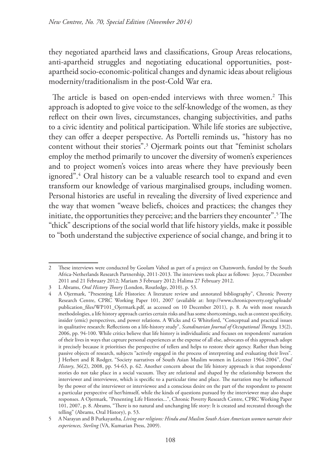they negotiated apartheid laws and classifications, Group Areas relocations, anti-apartheid struggles and negotiating educational opportunities, postapartheid socio-economic-political changes and dynamic ideas about religious modernity/traditionalism in the post-Cold War era.

The article is based on open-ended interviews with three women.<sup>2</sup> This approach is adopted to give voice to the self-knowledge of the women, as they reflect on their own lives, circumstances, changing subjectivities, and paths to a civic identity and political participation. While life stories are subjective, they can offer a deeper perspective. As Portelli reminds us, "history has no content without their stories".3 Ojermark points out that "feminist scholars employ the method primarily to uncover the diversity of women's experiences and to project women's voices into areas where they have previously been ignored".4 Oral history can be a valuable research tool to expand and even transform our knowledge of various marginalised groups, including women. Personal histories are useful in revealing the diversity of lived experience and the way that women "weave beliefs, choices and practices; the changes they initiate, the opportunities they perceive; and the barriers they encounter".5 The "thick" descriptions of the social world that life history yields, make it possible to "both understand the subjective experience of social change, and bring it to

<sup>2</sup> These interviews were conducted by Goolam Vahed as part of a project on Chatsworth, funded by the South Africa-Netherlands Research Partnership, 2011-2013. The interviews took place as follows: Joyce, 7 December 2011 and 21 February 2012; Mariam 3 February 2012; Halima 27 February 2012.

<sup>3</sup> L Abrams, *Oral History Theory* (London, Routledge, 2010), p. 53.

<sup>4</sup> A Ojermark, "Presenting Life Histories: A literature review and annotated bibliography", Chronic Poverty Research Centre, CPRC Working Paper 101, 2007 (available at: http://www.chronicpoverty.org/uploads/ publication\_files/WP101\_Ojermark.pdf, as accessed on 10 December 2011), p. 8. As with most research methodologies, a life history approach carries certain risks and has some shortcomings, such as context specificity, insider (emic) perspectives, and power relations. A Wicks and G Whiteford, "Conceptual and practical issues in qualitative research: Reflections on a life-history study", *Scandinavian Journal of Occupational Therapy,* 13(2), 2006, pp. 94-100. While critics believe that life history is individualistic and focuses on respondents' narration of their lives in ways that capture personal experiences at the expense of all else, advocates of this approach adopt it precisely because it prioritises the perspective of tellers and helps to restore their agency. Rather than being passive objects of research, subjects "actively engaged in the process of interpreting and evaluating their lives". J Herbert and R Rodger, "Society narratives of South Asian Muslim women in Leicester 1964-2004", *Oral History*, 36(2), 2008, pp. 54-63, p. 62. Another concern about the life history approach is that respondents' stories do not take place in a social vacuum. They are relational and shaped by the relationship between the interviewer and interviewee, which is specific to a particular time and place. The narration may be influenced by the power of the interviewer or interviewee and a conscious desire on the part of the respondent to present a particular perspective of her/himself, while the kinds of questions pursued by the interviewer may also shape responses. A Ojermark, "Presenting Life Histories...", Chronic Poverty Research Centre, CPRC Working Paper 101, 2007, p. 8. Abrams, "There is no natural and unchanging life story: It is created and recreated through the telling" (Abrams, Oral History), p. 53.

<sup>5</sup> A Narayan and B Purkayastha, *Living our religions: Hindu and Muslim South Asian American women narrate their experiences, Sterling* (VA, Kumarian Press, 2009).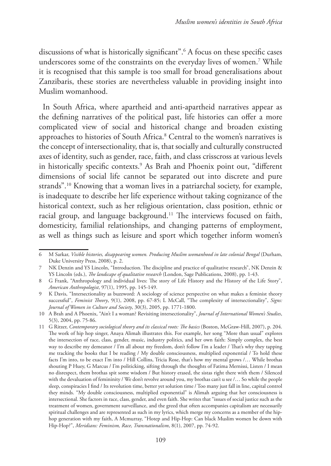discussions of what is historically significant".6 A focus on these specific cases underscores some of the constraints on the everyday lives of women.7 While it is recognised that this sample is too small for broad generalisations about Zanzibaris, these stories are nevertheless valuable in providing insight into Muslim womanhood.

In South Africa, where apartheid and anti-apartheid narratives appear as the defining narratives of the political past, life histories can offer a more complicated view of social and historical change and broaden existing approaches to histories of South Africa.8 Central to the women's narratives is the concept of intersectionality, that is, that socially and culturally constructed axes of identity, such as gender, race, faith, and class crisscross at various levels in historically specific contexts.9 As Brah and Phoenix point out, "different dimensions of social life cannot be separated out into discrete and pure strands".10 Knowing that a woman lives in a patriarchal society, for example, is inadequate to describe her life experience without taking cognizance of the historical context, such as her religious orientation, class position, ethnic or racial group, and language background.<sup>11</sup> The interviews focused on faith, domesticity, familial relationships, and changing patterns of employment, as well as things such as leisure and sport which together inform women's

<sup>6</sup> M Sarkar, *Visible histories, disappearing women. Producing Muslim womanhood in late colonial Bengal* (Durham, Duke University Press, 2008), p. 2.

<sup>7</sup> NK Denzin and YS Lincoln, "Introduction. The discipline and practice of qualitative research", NK Denzin & YS Lincoln (eds.), *The landscape of qualitative research* (London, Sage Publications, 2008), pp. 1-43.

<sup>8</sup> G Frank, "Anthropology and individual lives: The story of Life History and the History of the Life Story", *American Anthropologist*, 97(1), 1995, pp. 145-149.

<sup>9</sup> K Davis, "Intersectionality as buzzword: A sociology of science perspective on what makes a feminist theory successful", *Feminist Theory*, 9(1), 2008, pp. 67-85; L McCall, "The complexity of intersectionality", *Signs: Journal of Women in Culture and Society*, 30(3), 2005, pp. 1771-1800.

<sup>10</sup> A Brah and A Phoenix, "Ain't I a woman? Revisiting intersectionality", *Journal of International Women's Studies*, 5(3), 2004, pp. 75-86.

<sup>11</sup> G Ritzer, *Contemporary sociological theory and its classical roots: The basics* (Boston, McGraw-Hill, 2007), p. 204. The work of hip hop singer, Anaya Alimah illustrates this. For example, her song "More than usual" explores the intersection of race, class, gender, music, industry politics, and her own faith: Simply complex, the best way to describe my demeanor / I'm all about my freedom, don't follow I'm a leader / That's why they tapping me tracking the books that I be reading / My double consciousness, multiplied exponential / To hold these facts I'm into, to be exact I'm into / Hill Collins, Tricia Rose, that's how my mental grows /… While brothas shouting P Huey, G Marcus / I'm politicking, sifting through the thoughts of Fatima Mernissi, Listen / I mean no disrespect, them brothas spit some wisdom / But history erased, the sistas right there with them / Silenced with the devaluation of femininity / We don't revolve around you, my brothas can't u see /… So while the people sleep, conspiracies I find / Its revolution time, better yet solution time / Too many just fall in line, capital control they minds. "My double consciousness, multiplied exponential" is Alimah arguing that her consciousness is intersectional. She factors in race, class, gender, and even faith. She writes that "issues of social justice such as the treatment of women, government surveillance, and the greed that often accompanies capitalism are necessarily spiritual challenges and are represented as such in my lyrics, which merge my concerns as a member of the hiphop generation with my faith, A Mcmurray, "Hotep and Hip-Hop: Can black Muslim women be down with Hip-Hop?", *Meridians: Feminism, Race, Transnationalism*, 8(1), 2007, pp. 74-92.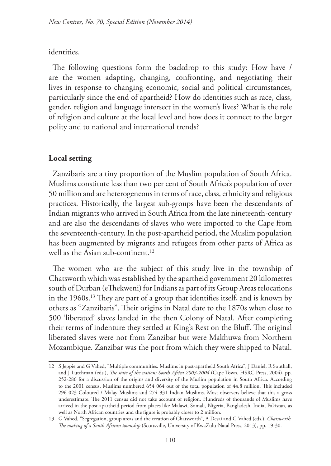## identities.

The following questions form the backdrop to this study: How have / are the women adapting, changing, confronting, and negotiating their lives in response to changing economic, social and political circumstances, particularly since the end of apartheid? How do identities such as race, class, gender, religion and language intersect in the women's lives? What is the role of religion and culture at the local level and how does it connect to the larger polity and to national and international trends?

# **Local setting**

Zanzibaris are a tiny proportion of the Muslim population of South Africa. Muslims constitute less than two per cent of South Africa's population of over 50 million and are heterogeneous in terms of race, class, ethnicity and religious practices. Historically, the largest sub-groups have been the descendants of Indian migrants who arrived in South Africa from the late nineteenth-century and are also the descendants of slaves who were imported to the Cape from the seventeenth-century. In the post-apartheid period, the Muslim population has been augmented by migrants and refugees from other parts of Africa as well as the Asian sub-continent.<sup>12</sup>

The women who are the subject of this study live in the township of Chatsworth which was established by the apartheid government 20 kilometres south of Durban (eThekweni) for Indians as part of its Group Areas relocations in the 1960s.13 They are part of a group that identifies itself, and is known by others as "Zanzibaris". Their origins in Natal date to the 1870s when close to 500 'liberated' slaves landed in the then Colony of Natal. After completing their terms of indenture they settled at King's Rest on the Bluff. The original liberated slaves were not from Zanzibar but were Makhuwa from Northern Mozambique. Zanzibar was the port from which they were shipped to Natal.

<sup>12</sup> S Jeppie and G Vahed, "Multiple communities: Muslims in post-apartheid South Africa", J Daniel, R Southall, and J Lutchman (eds.), *The state of the nation: South Africa 2003-2004* (Cape Town, HSRC Press, 2004), pp. 252-286 for a discussion of the origins and diversity of the Muslim population in South Africa. According to the 2001 census, Muslims numbered 654 064 out of the total population of 44.8 million. This included 296 023 Coloured / Malay Muslims and 274 931 Indian Muslims. Most observers believe that this a gross underestimate. The 2011 census did not take account of religion. Hundreds of thousands of Muslims have arrived in the post-apartheid period from places like Malawi, Somali, Nigeria, Bangladesh, India, Pakistan, as well as North African countries and the figure is probably closer to 2 million.

<sup>13</sup> G Vahed, "Segregation, group areas and the creation of Chatsworth", A Desai and G Vahed (eds.), *Chatsworth. The making of a South African township* (Scottsville, University of KwaZulu-Natal Press, 2013), pp. 19-30.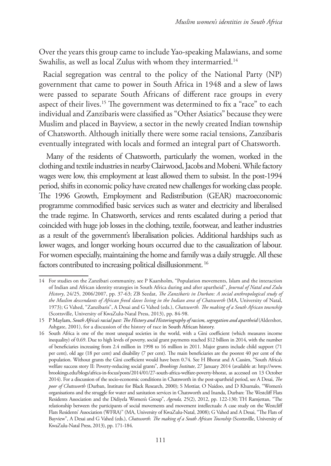Over the years this group came to include Yao-speaking Malawians, and some Swahilis, as well as local Zulus with whom they intermarried.<sup>14</sup>

Racial segregation was central to the policy of the National Party (NP) government that came to power in South Africa in 1948 and a slew of laws were passed to separate South Africans of different race groups in every aspect of their lives.<sup>15</sup> The government was determined to fix a "race" to each individual and Zanzibaris were classified as "Other Asiatics" because they were Muslim and placed in Bayview, a sector in the newly created Indian township of Chatsworth. Although initially there were some racial tensions, Zanzibaris eventually integrated with locals and formed an integral part of Chatsworth.

 Many of the residents of Chatsworth, particularly the women, worked in the clothing and textile industries in nearby Clairwood, Jacobs and Mobeni. While factory wages were low, this employment at least allowed them to subsist. In the post-1994 period, shifts in economic policy have created new challenges for working class people. The 1996 Growth, Employment and Redistribution (GEAR) macroeconomic programme commodified basic services such as water and electricity and liberalised the trade regime. In Chatsworth, services and rents escalated during a period that coincided with huge job losses in the clothing, textile, footwear, and leather industries as a result of the government's liberalisation policies. Additional hardships such as lower wages, and longer working hours occurred due to the casualization of labour. For women especially, maintaining the home and family was a daily struggle. All these factors contributed to increasing political disillusionment. 16

<sup>14</sup> For studies on the Zanzibari community, see P Kaarsholm, "Population movements, Islam and the interaction of Indian and African identity strategies in South Africa during and after apartheid", *Journal of Natal and Zulu History*, 24/25, 2006/2007, pp. 37-63; ZB Seedat, *The Zanzibaris in Durban: A social anthropological study of the Muslim descendants of African freed slaves living in the Indian area of Chatsworth* (MA, University of Natal, 1973); G Vahed, "Zanzibaris", A Desai and G Vahed (eds.), *Chatsworth. The making of a South African township* (Scottsville, University of KwaZulu-Natal Press, 2013), pp. 84-98.

<sup>15</sup> P Maylam, *South Africa's racial past: The History and Historiography of racism, segregation and apartheid* (Aldershot, Ashgate, 2001), for a discussion of the history of race in South African history.

<sup>16</sup> South Africa is one of the most unequal societies in the world, with a Gini coefficient (which measures income inequality) of 0.69. Due to high levels of poverty, social grant payments reached \$12 billion in 2014, with the number of beneficiaries increasing from 2.4 million in 1998 to 16 million in 2011. Major grants include child support (71 per cent), old age (18 per cent) and disability (7 per cent). The main beneficiaries are the poorest 40 per cent of the population. Without grants the Gini coefficient would have been 0.74. See H Bhorat and A Cassim, "South Africa's welfare success story II: Poverty-reducing social grants", *Brookings Institute*, 27 January 2014 (available at: http://www. brookings.edu/blogs/africa-in-focus/posts/2014/01/27-south-africa-welfare-poverty-bhorat, as accessed on 13 October 2014). For a discussion of the socio-economic conditions in Chatsworth in the post-apartheid period, see A Desai, *The poor of Chatsworth* (Durban, Institute for Black Research, 2000); S Mottiar, O Naidoo, and D Khumalo, "Women's organisations and the struggle for water and sanitation services in Chatsworth and Inanda, Durban: The Westcliff Flats Residents Association and the Didiyela Women's Group", *Agenda,* 25(2), 2012, pp. 122-130; TH Ramjettan, "The relationship between the participants of social movements and movement intellectuals: A case study on the Westcliff Flats Residents' Association (WFRA)" (MA, University of KwaZulu-Natal, 2008); G Vahed and A Desai, "The Flats of Bayview", A Desai and G Vahed (eds.), *Chatsworth. The making of a South African Township* (Scottsville, University of KwaZulu-Natal Press, 2013), pp. 171-184.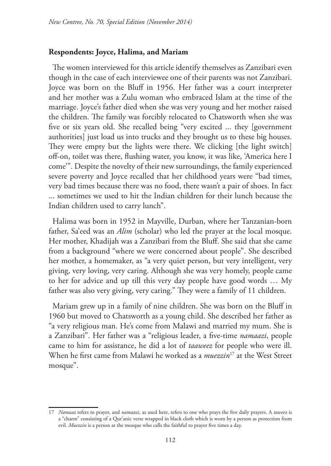## **Respondents: Joyce, Halima, and Mariam**

The women interviewed for this article identify themselves as Zanzibari even though in the case of each interviewee one of their parents was not Zanzibari. Joyce was born on the Bluff in 1956. Her father was a court interpreter and her mother was a Zulu woman who embraced Islam at the time of the marriage. Joyce's father died when she was very young and her mother raised the children. The family was forcibly relocated to Chatsworth when she was five or six years old. She recalled being "very excited ... they [government authorities] just load us into trucks and they brought us to these big houses. They were empty but the lights were there. We clicking [the light switch] off-on, toilet was there, flushing water, you know, it was like, 'America here I come'". Despite the novelty of their new surroundings, the family experienced severe poverty and Joyce recalled that her childhood years were "bad times, very bad times because there was no food, there wasn't a pair of shoes. In fact ... sometimes we used to hit the Indian children for their lunch because the Indian children used to carry lunch".

Halima was born in 1952 in Mayville, Durban, where her Tanzanian-born father, Sa'eed was an *Alim* (scholar) who led the prayer at the local mosque. Her mother, Khadijah was a Zanzibari from the Bluff. She said that she came from a background "where we were concerned about people". She described her mother, a homemaker, as "a very quiet person, but very intelligent, very giving, very loving, very caring. Although she was very homely, people came to her for advice and up till this very day people have good words … My father was also very giving, very caring." They were a family of 11 children.

Mariam grew up in a family of nine children. She was born on the Bluff in 1960 but moved to Chatsworth as a young child. She described her father as "a very religious man. He's come from Malawi and married my mum. She is a Zanzibari". Her father was a "religious leader, a five-time *namaazi*, people came to him for assistance, he did a lot of *taaweez* for people who were ill. When he first came from Malawi he worked as a *muezzin*17 at the West Street mosque".

<sup>17</sup> *Namaaz* refers to prayer, and *namaazi*, as used here, refers to one who prays the five daily prayers. A *taweez* is a "charm" consisting of a Qur'anic verse wrapped in black cloth which is worn by a person as protection from evil. *Muezzin* is a person at the mosque who calls the faithful to prayer five times a day.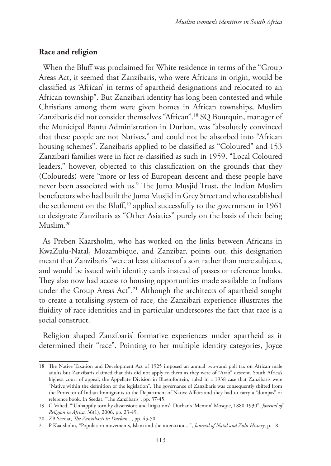#### **Race and religion**

When the Bluff was proclaimed for White residence in terms of the "Group Areas Act, it seemed that Zanzibaris, who were Africans in origin, would be classified as 'African' in terms of apartheid designations and relocated to an African township". But Zanzibari identity has long been contested and while Christians among them were given homes in African townships, Muslim Zanzibaris did not consider themselves "African".18 SQ Bourquin, manager of the Municipal Bantu Administration in Durban, was "absolutely convinced that these people are not Natives," and could not be absorbed into "African housing schemes". Zanzibaris applied to be classified as "Coloured" and 153 Zanzibari families were in fact re-classified as such in 1959. "Local Coloured leaders," however, objected to this classification on the grounds that they (Coloureds) were "more or less of European descent and these people have never been associated with us." The Juma Musjid Trust, the Indian Muslim benefactors who had built the Juma Musjid in Grey Street and who established the settlement on the Bluff,<sup>19</sup> applied successfully to the government in  $1961$ to designate Zanzibaris as "Other Asiatics" purely on the basis of their being Muslim.20

As Preben Kaarsholm, who has worked on the links between Africans in KwaZulu-Natal, Mozambique, and Zanzibar, points out, this designation meant that Zanzibaris "were at least citizens of a sort rather than mere subjects, and would be issued with identity cards instead of passes or reference books. They also now had access to housing opportunities made available to Indians under the Group Areas Act".<sup>21</sup> Although the architects of apartheid sought to create a totalising system of race, the Zanzibari experience illustrates the fluidity of race identities and in particular underscores the fact that race is a social construct.

Religion shaped Zanzibaris' formative experiences under apartheid as it determined their "race". Pointing to her multiple identity categories, Joyce

<sup>18</sup> The Native Taxation and Development Act of 1925 imposed an annual two-rand poll tax on African male adults but Zanzibaris claimed that this did not apply to them as they were of "Arab" descent. South Africa's highest court of appeal, the Appellate Division in Bloemfontein, ruled in a 1938 case that Zanzibaris were "Native within the definition of the legislation". The governance of Zanzibaris was consequently shifted from the Protector of Indian Immigrants to the Department of Native Affairs and they had to carry a "dompas" or reference book. In Seedat, "The Zanzibaris", pp. 37-45.

<sup>19</sup> G Vahed, "'Unhappily torn by dissensions and litigations': Durban's 'Memon' Mosque, 1880-1930", *Journal of Religion in Africa,* 36(1), 2006, pp. 23-49.

<sup>20</sup> ZB Seedat, *The Zanzibaris in Durban...*, pp. 45-50.

<sup>21</sup> P Kaarsholm, "Population movements, Islam and the interaction...", *Journal of Natal and Zulu History*, p. 18.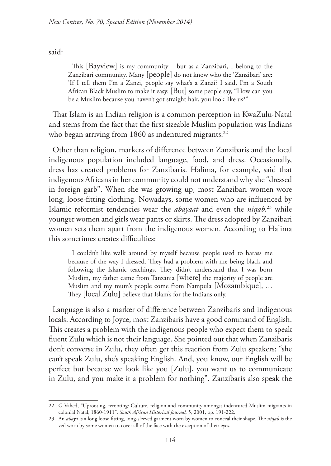said:

This [Bayview] is my community – but as a Zanzibari, I belong to the Zanzibari community. Many [people] do not know who the 'Zanzibari' are: 'If I tell them I'm a Zanzi, people say what's a Zanzi? I said, I'm a South African Black Muslim to make it easy. [But] some people say, "How can you be a Muslim because you haven't got straight hair, you look like us?"

That Islam is an Indian religion is a common perception in KwaZulu-Natal and stems from the fact that the first sizeable Muslim population was Indians who began arriving from 1860 as indentured migrants.<sup>22</sup>

Other than religion, markers of difference between Zanzibaris and the local indigenous population included language, food, and dress. Occasionally, dress has created problems for Zanzibaris. Halima, for example, said that indigenous Africans in her community could not understand why she "dressed in foreign garb". When she was growing up, most Zanzibari women wore long, loose-fitting clothing. Nowadays, some women who are influenced by Islamic reformist tendencies wear the *abayaat* and even the *niqab,*23 while younger women and girls wear pants or skirts. The dress adopted by Zanzibari women sets them apart from the indigenous women. According to Halima this sometimes creates difficulties:

I couldn't like walk around by myself because people used to harass me because of the way I dressed. They had a problem with me being black and following the Islamic teachings. They didn't understand that I was born Muslim, my father came from Tanzania [where] the majority of people are Muslim and my mum's people come from Nampula [Mozambique], … They [local Zulu] believe that Islam's for the Indians only.

Language is also a marker of difference between Zanzibaris and indigenous locals. According to Joyce, most Zanzibaris have a good command of English. This creates a problem with the indigenous people who expect them to speak fluent Zulu which is not their language. She pointed out that when Zanzibaris don't converse in Zulu, they often get this reaction from Zulu speakers: "she can't speak Zulu, she's speaking English. And, you know, our English will be perfect but because we look like you [Zulu], you want us to communicate in Zulu, and you make it a problem for nothing". Zanzibaris also speak the

<sup>22</sup> G Vahed, "Uprooting, rerooting: Culture, religion and community amongst indentured Muslim migrants in colonial Natal, 1860-1911"*, South African Historical Journal,* 5, 2001, pp. 191-222.

<sup>23</sup> An *abaya* is a long loose fitting, long-sleeved garment worn by women to conceal their shape. The *niqab* is the veil worn by some women to cover all of the face with the exception of their eyes.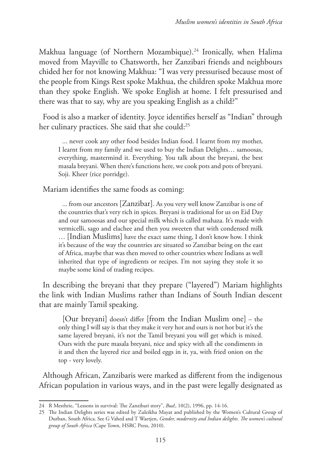Makhua language (of Northern Mozambique).24 Ironically, when Halima moved from Mayville to Chatsworth, her Zanzibari friends and neighbours chided her for not knowing Makhua: "I was very pressurised because most of the people from Kings Rest spoke Makhua, the children spoke Makhua more than they spoke English. We spoke English at home. I felt pressurised and there was that to say, why are you speaking English as a child?"

Food is also a marker of identity. Joyce identifies herself as "Indian" through her culinary practices. She said that she could:<sup>25</sup>

... never cook any other food besides Indian food. I learnt from my mother, I learnt from my family and we used to buy the Indian Delights… samoosas, everything, mastermind it. Everything. You talk about the breyani, the best masala breyani. When there's functions here, we cook pots and pots of breyani. Soji. Kheer (rice porridge).

Mariam identifies the same foods as coming:

... from our ancestors [Zanzibar]. As you very well know Zanzibar is one of the countries that's very rich in spices. Breyani is traditional for us on Eid Day and our samoosas and our special milk which is called mahaza. It's made with vermicelli, sago and elachee and then you sweeten that with condensed milk … [Indian Muslims] have the exact same thing, I don't know how. I think it's because of the way the countries are situated so Zanzibar being on the east of Africa, maybe that was then moved to other countries where Indians as well inherited that type of ingredients or recipes. I'm not saying they stole it so maybe some kind of trading recipes.

In describing the breyani that they prepare ("layered") Mariam highlights the link with Indian Muslims rather than Indians of South Indian descent that are mainly Tamil speaking.

[Our breyani] doesn't differ [from the Indian Muslim one] – the only thing I will say is that they make it very hot and ours is not hot but it's the same layered breyani, it's not the Tamil breyani you will get which is mixed. Ours with the pure masala breyani, nice and spicy with all the condiments in it and then the layered rice and boiled eggs in it, ya, with fried onion on the top - very lovely.

Although African, Zanzibaris were marked as different from the indigenous African population in various ways, and in the past were legally designated as

<sup>24</sup> R Mesthrie, "Lessons in survival: The Zanzibari story", *Bua*!, 10(2), 1996, pp. 14-16.

<sup>25</sup> The Indian Delights series was edited by Zuleikha Mayat and published by the Women's Cultural Group of Durban, South Africa. See G Vahed and T Waetjen, *Gender, modernity and Indian delights. The women's cultural group of South Africa* (Cape Town, HSRC Press, 2010).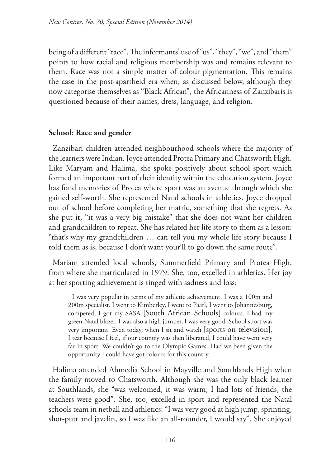being of a different "race". The informants' use of "us", "they", "we", and "them" points to how racial and religious membership was and remains relevant to them. Race was not a simple matter of colour pigmentation. This remains the case in the post-apartheid era when, as discussed below, although they now categorise themselves as "Black African", the Africanness of Zanzibaris is questioned because of their names, dress, language, and religion.

# **School: Race and gender**

Zanzibari children attended neighbourhood schools where the majority of the learners were Indian. Joyce attended Protea Primary and Chatsworth High. Like Maryam and Halima, she spoke positively about school sport which formed an important part of their identity within the education system. Joyce has fond memories of Protea where sport was an avenue through which she gained self-worth. She represented Natal schools in athletics. Joyce dropped out of school before completing her matric, something that she regrets. As she put it, "it was a very big mistake" that she does not want her children and grandchildren to repeat. She has related her life story to them as a lesson: "that's why my grandchildren … can tell you my whole life story because I told them as is, because I don't want your'll to go down the same route".

Mariam attended local schools, Summerfield Primary and Protea High, from where she matriculated in 1979. She, too, excelled in athletics. Her joy at her sporting achievement is tinged with sadness and loss:

I was very popular in terms of my athletic achievement. I was a 100m and 200m specialist. I went to Kimberley, I went to Paarl, I went to Johannesburg, competed, I got my SASA [South African Schools] colours. I had my green Natal blazer. I was also a high jumper, I was very good. School sport was very important. Even today, when I sit and watch [sports on television], I tear because I feel, if our country was then liberated, I could have went very far in sport. We couldn't go to the Olympic Games. Had we been given the opportunity I could have got colours for this country.

Halima attended Ahmedia School in Mayville and Southlands High when the family moved to Chatsworth. Although she was the only black learner at Southlands, she "was welcomed, it was warm, I had lots of friends, the teachers were good". She, too, excelled in sport and represented the Natal schools team in netball and athletics: "I was very good at high jump, sprinting, shot-putt and javelin, so I was like an all-rounder, I would say". She enjoyed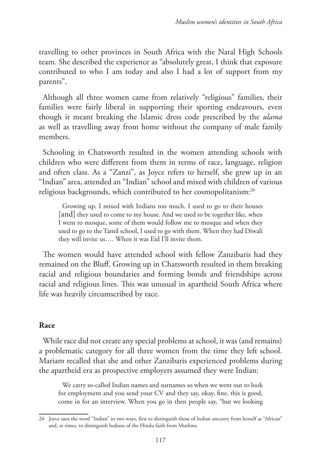travelling to other provinces in South Africa with the Natal High Schools team. She described the experience as "absolutely great, I think that exposure contributed to who I am today and also I had a lot of support from my parents".

Although all three women came from relatively "religious" families, their families were fairly liberal in supporting their sporting endeavours, even though it meant breaking the Islamic dress code prescribed by the *ulama* as well as travelling away from home without the company of male family members.

Schooling in Chatsworth resulted in the women attending schools with children who were different from them in terms of race, language, religion and often class. As a "Zanzi", as Joyce refers to herself, she grew up in an "Indian" area, attended an "Indian" school and mixed with children of various religious backgrounds, which contributed to her cosmopolitanism:26

Growing up, I mixed with Indians too much. I used to go to their houses [and] they used to come to my house. And we used to be together like, when I went to mosque, some of them would follow me to mosque and when they used to go to the Tamil school, I used to go with them. When they had Diwali they will invite us…. When it was Eid I'll invite them.

The women would have attended school with fellow Zanzibaris had they remained on the Bluff. Growing up in Chatsworth resulted in them breaking racial and religious boundaries and forming bonds and friendships across racial and religious lines. This was unusual in apartheid South Africa where life was heavily circumscribed by race.

# **Race**

While race did not create any special problems at school, it was (and remains) a problematic category for all three women from the time they left school. Mariam recalled that she and other Zanzibaris experienced problems during the apartheid era as prospective employers assumed they were Indian:

We carry so-called Indian names and surnames so when we went out to look for employment and you send your CV and they say, okay, fine, this is good, come in for an interview. When you go in then people say, "but we looking

<sup>26</sup> Joyce uses the word "Indian" in two ways, first to distinguish those of Indian ancestry from herself as "African" and, at times, to distinguish Indians of the Hindu faith from Muslims.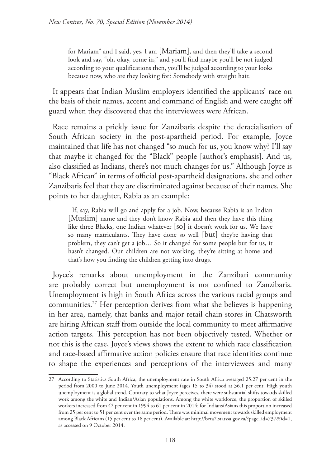for Mariam" and I said, yes, I am [Mariam], and then they'll take a second look and say, "oh, okay, come in," and you'll find maybe you'll be not judged according to your qualifications then, you'll be judged according to your looks because now, who are they looking for? Somebody with straight hair.

It appears that Indian Muslim employers identified the applicants' race on the basis of their names, accent and command of English and were caught off guard when they discovered that the interviewees were African.

Race remains a prickly issue for Zanzibaris despite the deracialisation of South African society in the post-apartheid period. For example, Joyce maintained that life has not changed "so much for us, you know why? I'll say that maybe it changed for the "Black" people [author's emphasis]. And us, also classified as Indians, there's not much changes for us." Although Joyce is "Black African" in terms of official post-apartheid designations, she and other Zanzibaris feel that they are discriminated against because of their names. She points to her daughter, Rabia as an example:

If, say, Rabia will go and apply for a job. Now, because Rabia is an Indian [Muslim] name and they don't know Rabia and then they have this thing like three Blacks, one Indian whatever [so] it doesn't work for us. We have so many matriculants. They have done so well [but] they're having that problem, they can't get a job… So it changed for some people but for us, it hasn't changed. Our children are not working, they're sitting at home and that's how you finding the children getting into drugs.

Joyce's remarks about unemployment in the Zanzibari community are probably correct but unemployment is not confined to Zanzibaris. Unemployment is high in South Africa across the various racial groups and communities.27 Her perception derives from what she believes is happening in her area, namely, that banks and major retail chain stores in Chatsworth are hiring African staff from outside the local community to meet affirmative action targets. This perception has not been objectively tested. Whether or not this is the case, Joyce's views shows the extent to which race classification and race-based affirmative action policies ensure that race identities continue to shape the experiences and perceptions of the interviewees and many

<sup>27</sup> According to Statistics South Africa, the unemployment rate in South Africa averaged 25.27 per cent in the period from 2000 to June 2014. Youth unemployment (ages 15 to 34) stood at 36.1 per cent. High youth unemployment is a global trend. Contrary to what Joyce perceives, there were substantial shifts towards skilled work among the white and Indian/Asian populations. Among the white workforce, the proportion of skilled workers increased from 42 per cent in 1994 to 61 per cent in 2014; for Indians/Asians this proportion increased from 25 per cent to 51 per cent over the same period. There was minimal movement towards skilled employment among Black Africans (15 per cent to 18 per cent). Available at: http://beta2.statssa.gov.za/?page\_id=737&id=1, as accessed on 9 October 2014.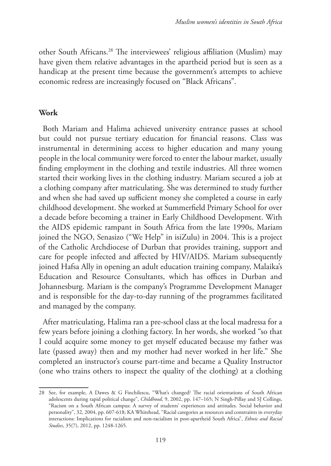other South Africans.28 The interviewees' religious affiliation (Muslim) may have given them relative advantages in the apartheid period but is seen as a handicap at the present time because the government's attempts to achieve economic redress are increasingly focused on "Black Africans".

### **Work**

Both Mariam and Halima achieved university entrance passes at school but could not pursue tertiary education for financial reasons. Class was instrumental in determining access to higher education and many young people in the local community were forced to enter the labour market, usually finding employment in the clothing and textile industries. All three women started their working lives in the clothing industry. Mariam secured a job at a clothing company after matriculating. She was determined to study further and when she had saved up sufficient money she completed a course in early childhood development. She worked at Summerfield Primary School for over a decade before becoming a trainer in Early Childhood Development. With the AIDS epidemic rampant in South Africa from the late 1990s, Mariam joined the NGO, Senasizo ("We Help" in isiZulu) in 2004. This is a project of the Catholic Archdiocese of Durban that provides training, support and care for people infected and affected by HIV/AIDS. Mariam subsequently joined Hafsa Ally in opening an adult education training company, Malaika's Education and Resource Consultants, which has offices in Durban and Johannesburg. Mariam is the company's Programme Development Manager and is responsible for the day-to-day running of the programmes facilitated and managed by the company.

After matriculating, Halima ran a pre-school class at the local madressa for a few years before joining a clothing factory. In her words, she worked "so that I could acquire some money to get myself educated because my father was late (passed away) then and my mother had never worked in her life." She completed an instructor's course part-time and became a Quality Instructor (one who trains others to inspect the quality of the clothing) at a clothing

<sup>28</sup> See, for example, A Dawes & G Finchilescu, "What's changed? The racial orientations of South African adolescents during rapid political change", *Childhood*, 9, 2002, pp. 147–165; N Singh-Pillay and SJ Collings, "Racism on a South African campus: A survey of students' experiences and attitudes. Social behavior and personality", 32, 2004, pp. 607-618; KA Whitehead, "Racial categories as resources and constraints in everyday interactions: Implications for racialism and non-racialism in post-apartheid South Africa", *Ethnic and Racial Studies*, 35(7), 2012, pp. 1248-1265.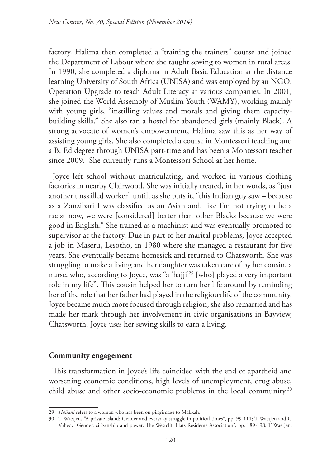factory. Halima then completed a "training the trainers" course and joined the Department of Labour where she taught sewing to women in rural areas. In 1990, she completed a diploma in Adult Basic Education at the distance learning University of South Africa (UNISA) and was employed by an NGO, Operation Upgrade to teach Adult Literacy at various companies. In 2001, she joined the World Assembly of Muslim Youth (WAMY), working mainly with young girls, "instilling values and morals and giving them capacitybuilding skills." She also ran a hostel for abandoned girls (mainly Black). A strong advocate of women's empowerment, Halima saw this as her way of assisting young girls. She also completed a course in Montessori teaching and a B. Ed degree through UNISA part-time and has been a Montessori teacher since 2009. She currently runs a Montessori School at her home.

Joyce left school without matriculating, and worked in various clothing factories in nearby Clairwood. She was initially treated, in her words, as "just another unskilled worker" until, as she puts it, "this Indian guy saw – because as a Zanzibari I was classified as an Asian and, like I'm not trying to be a racist now, we were [considered] better than other Blacks because we were good in English." She trained as a machinist and was eventually promoted to supervisor at the factory. Due in part to her marital problems, Joyce accepted a job in Maseru, Lesotho, in 1980 where she managed a restaurant for five years. She eventually became homesick and returned to Chatsworth. She was struggling to make a living and her daughter was taken care of by her cousin, a nurse, who, according to Joyce, was "a 'hajji'29 [who] played a very important role in my life". This cousin helped her to turn her life around by reminding her of the role that her father had played in the religious life of the community. Joyce became much more focused through religion; she also remarried and has made her mark through her involvement in civic organisations in Bayview, Chatsworth. Joyce uses her sewing skills to earn a living.

# **Community engagement**

This transformation in Joyce's life coincided with the end of apartheid and worsening economic conditions, high levels of unemployment, drug abuse, child abuse and other socio-economic problems in the local community.<sup>30</sup>

<sup>29</sup> *Hajiani* refers to a woman who has been on pilgrimage to Makkah.

<sup>30</sup> T Waetjen, "A private island: Gender and everyday struggle in political times", pp. 99-111; T Waetjen and G Vahed, "Gender, citizenship and power: The Westcliff Flats Residents Association", pp. 189-198; T Waetjen,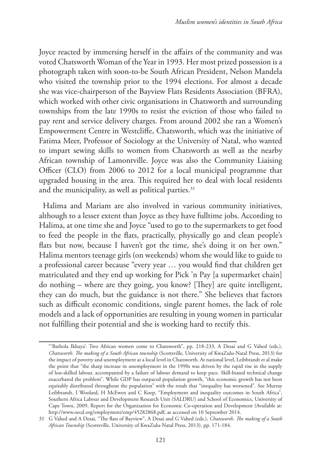Joyce reacted by immersing herself in the affairs of the community and was voted Chatsworth Woman of the Year in 1993. Her most prized possession is a photograph taken with soon-to-be South African President, Nelson Mandela who visited the township prior to the 1994 elections. For almost a decade she was vice-chairperson of the Bayview Flats Residents Association (BFRA), which worked with other civic organisations in Chatsworth and surrounding townships from the late 1990s to resist the eviction of those who failed to pay rent and service delivery charges. From around 2002 she ran a Women's Empowerment Centre in Westcliffe, Chatsworth, which was the initiative of Fatima Meer, Professor of Sociology at the University of Natal, who wanted to impart sewing skills to women from Chatsworth as well as the nearby African township of Lamontville. Joyce was also the Community Liaising Officer (CLO) from 2006 to 2012 for a local municipal programme that upgraded housing in the area. This required her to deal with local residents and the municipality, as well as political parties. $31$ 

Halima and Mariam are also involved in various community initiatives, although to a lesser extent than Joyce as they have fulltime jobs. According to Halima, at one time she and Joyce "used to go to the supermarkets to get food to feed the people in the flats, practically, physically go and clean people's flats but now, because I haven't got the time, she's doing it on her own." Halima mentors teenage girls (on weekends) whom she would like to guide to a professional career because "every year … you would find that children get matriculated and they end up working for Pick 'n Pay [a supermarket chain] do nothing – where are they going, you know? [They] are quite intelligent, they can do much, but the guidance is not there." She believes that factors such as difficult economic conditions, single parent homes, the lack of role models and a lack of opportunities are resulting in young women in particular not fulfilling their potential and she is working hard to rectify this.

<sup>&</sup>quot;'Bathola Ikhaya': Two African women come to Chatsworth", pp. 218-233, A Desai and G Vahed (eds.), *Chatsworth. The making of a South African township* (Scottsville, University of KwaZulu-Natal Press, 2013) for the impact of poverty and unemployment at a local level in Chatsworth. At national level, Leibbrandt et al make the point that "the sharp increase in unemployment in the 1990s was driven by the rapid rise in the supply of less-skilled labour, accompanied by a failure of labour demand to keep pace. Skill-biased technical change exacerbated the problem". While GDP has outpaced population growth, "this economic growth has not been equitably distributed throughout the population" with the result that "inequality has worsened". See Murray Leibbrandt, I Woolard, H McEwen and C Koep, "Employment and inequality outcomes in South Africa", Southern Africa Labour and Development Research Unit (SALDRU) and School of Economics, University of Cape Town, 2009, Report for the Organization for Economic Co-operation and Development (Available at: http://www.oecd.org/employment/emp/45282868.pdf, as accessed on 10 September 2014.

<sup>31</sup> G Vahed and A Desai, "The flats of Bayview", A Desai and G Vahed (eds.), *Chatsworth. The making of a South African Township* (Scottsville, University of KwaZulu-Natal Press, 2013), pp. 171-184.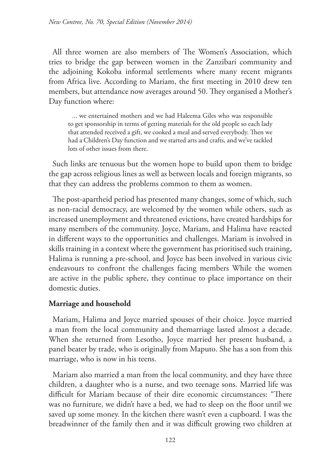All three women are also members of The Women's Association, which tries to bridge the gap between women in the Zanzibari community and the adjoining Kokoba informal settlements where many recent migrants from Africa live. According to Mariam, the first meeting in 2010 drew ten members, but attendance now averages around 50. They organised a Mother's Day function where:

... we entertained mothers and we had Haleema Giles who was responsible to get sponsorship in terms of getting materials for the old people so each lady that attended received a gift, we cooked a meal and served everybody. Then we had a Children's Day function and we started arts and crafts, and we've tackled lots of other issues from there.

Such links are tenuous but the women hope to build upon them to bridge the gap across religious lines as well as between locals and foreign migrants, so that they can address the problems common to them as women.

The post-apartheid period has presented many changes, some of which, such as non-racial democracy, are welcomed by the women while others, such as increased unemployment and threatened evictions, have created hardships for many members of the community. Joyce, Mariam, and Halima have reacted in different ways to the opportunities and challenges. Mariam is involved in skills training in a context where the government has prioritised such training, Halima is running a pre-school, and Joyce has been involved in various civic endeavours to confront the challenges facing members While the women are active in the public sphere, they continue to place importance on their domestic duties.

# **Marriage and household**

Mariam, Halima and Joyce married spouses of their choice. Joyce married a man from the local community and themarriage lasted almost a decade. When she returned from Lesotho, Joyce married her present husband, a panel beater by trade, who is originally from Maputo. She has a son from this marriage, who is now in his teens.

Mariam also married a man from the local community, and they have three children, a daughter who is a nurse, and two teenage sons. Married life was difficult for Mariam because of their dire economic circumstances: "There was no furniture, we didn't have a bed, we had to sleep on the floor until we saved up some money. In the kitchen there wasn't even a cupboard. I was the breadwinner of the family then and it was difficult growing two children at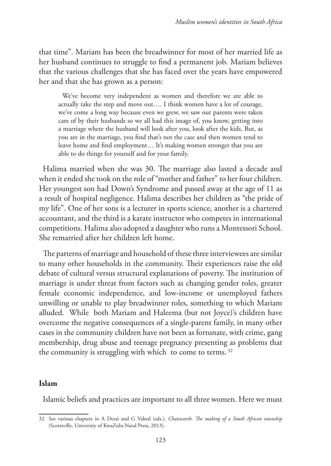that time". Mariam has been the breadwinner for most of her married life as her husband continues to struggle to find a permanent job. Mariam believes that the various challenges that she has faced over the years have empowered her and that she has grown as a person:

We've become very independent as women and therefore we are able to actually take the step and move out…. I think women have a lot of courage, we've come a long way because even we grew, we saw our parents were taken care of by their husbands so we all had this image of, you know, getting into a marriage where the husband will look after you, look after the kids. But, as you are in the marriage, you find that's not the case and then women tend to leave home and find employment… It's making women stronger that you are able to do things for yourself and for your family.

Halima married when she was 30. The marriage also lasted a decade and when it ended she took on the role of "mother and father" to her four children. Her youngest son had Down's Syndrome and passed away at the age of 11 as a result of hospital negligence. Halima describes her children as "the pride of my life". One of her sons is a lecturer in sports science, another is a chartered accountant, and the third is a karate instructor who competes in international competitions. Halima also adopted a daughter who runs a Montessori School. She remarried after her children left home.

The patterns of marriage and household of these three interviewees are similar to many other households in the community. Their experiences raise the old debate of cultural versus structural explanations of poverty. The institution of marriage is under threat from factors such as changing gender roles, greater female economic independence, and low-income or unemployed fathers unwilling or unable to play breadwinner roles, something to which Mariam alluded. While both Mariam and Haleema (but not Joyce)'s children have overcome the negative consequences of a single-parent family, in many other cases in the community children have not been as fortunate, with crime, gang membership, drug abuse and teenage pregnancy presenting as problems that the community is struggling with which to come to terms.<sup>32</sup>

## **Islam**

Islamic beliefs and practices are important to all three women. Here we must

<sup>32</sup> See various chapters in A Desai and G Vahed (eds.), *Chatsworth. The making of a South African township* (Scottsville, University of KwaZulu-Natal Press, 2013).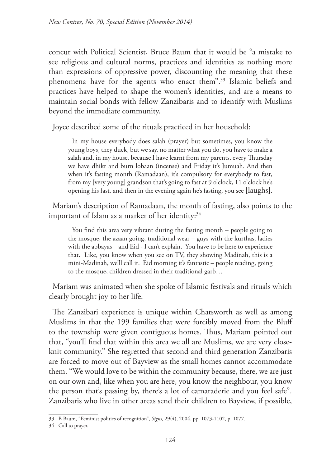concur with Political Scientist, Bruce Baum that it would be "a mistake to see religious and cultural norms, practices and identities as nothing more than expressions of oppressive power, discounting the meaning that these phenomena have for the agents who enact them".33 Islamic beliefs and practices have helped to shape the women's identities, and are a means to maintain social bonds with fellow Zanzibaris and to identify with Muslims beyond the immediate community.

Joyce described some of the rituals practiced in her household:

In my house everybody does salah (prayer) but sometimes, you know the young boys, they duck, but we say, no matter what you do, you have to make a salah and, in my house, because I have learnt from my parents, every Thursday we have dhikr and burn lobaan (incense) and Friday it's Jumuah. And then when it's fasting month (Ramadaan), it's compulsory for everybody to fast, from my [very young] grandson that's going to fast at 9 o'clock, 11 o'clock he's opening his fast, and then in the evening again he's fasting, you see [laughs].

Mariam's description of Ramadaan, the month of fasting, also points to the important of Islam as a marker of her identity:<sup>34</sup>

You find this area very vibrant during the fasting month – people going to the mosque, the azaan going, traditional wear – guys with the kurthas, ladies with the abbayas – and Eid - I can't explain. You have to be here to experience that. Like, you know when you see on TV, they showing Madinah, this is a mini-Madinah, we'll call it. Eid morning it's fantastic – people reading, going to the mosque, children dressed in their traditional garb…

Mariam was animated when she spoke of Islamic festivals and rituals which clearly brought joy to her life.

The Zanzibari experience is unique within Chatsworth as well as among Muslims in that the 199 families that were forcibly moved from the Bluff to the township were given contiguous homes. Thus, Mariam pointed out that, "you'll find that within this area we all are Muslims, we are very closeknit community." She regretted that second and third generation Zanzibaris are forced to move out of Bayview as the small homes cannot accommodate them. "We would love to be within the community because, there, we are just on our own and, like when you are here, you know the neighbour, you know the person that's passing by, there's a lot of camaraderie and you feel safe". Zanzibaris who live in other areas send their children to Bayview, if possible,

<sup>33</sup> B Baum, "Feminist politics of recognition", *Signs,* 29(4), 2004, pp. 1073-1102, p. 1077.

<sup>34</sup> Call to prayer.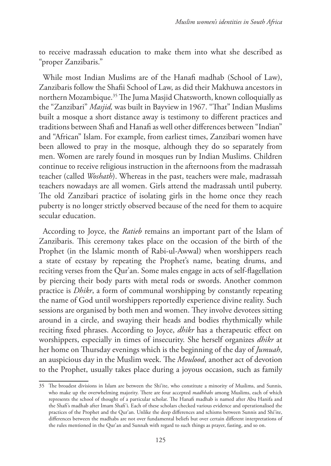to receive madrassah education to make them into what she described as "proper Zanzibaris."

While most Indian Muslims are of the Hanafi madhab (School of Law), Zanzibaris follow the Shafii School of Law, as did their Makhuwa ancestors in northern Mozambique.<sup>35</sup> The Juma Masjid Chatsworth, known colloquially as the "Zanzibari" *Masjid,* was built in Bayview in 1967. "That" Indian Muslims built a mosque a short distance away is testimony to different practices and traditions between Shafi and Hanafi as well other differences between "Indian" and "African" Islam. For example, from earliest times, Zanzibari women have been allowed to pray in the mosque, although they do so separately from men. Women are rarely found in mosques run by Indian Muslims. Children continue to receive religious instruction in the afternoons from the madrassah teacher (called *Woshath*). Whereas in the past, teachers were male, madrassah teachers nowadays are all women. Girls attend the madrassah until puberty. The old Zanzibari practice of isolating girls in the home once they reach puberty is no longer strictly observed because of the need for them to acquire secular education.

According to Joyce, the *Ratieb* remains an important part of the Islam of Zanzibaris. This ceremony takes place on the occasion of the birth of the Prophet (in the Islamic month of Rabi-ul-Awwal) when worshippers reach a state of ecstasy by repeating the Prophet's name, beating drums, and reciting verses from the Qur'an. Some males engage in acts of self-flagellation by piercing their body parts with metal rods or swords. Another common practice is *Dhikr*, a form of communal worshipping by constantly repeating the name of God until worshippers reportedly experience divine reality. Such sessions are organised by both men and women. They involve devotees sitting around in a circle, and swaying their heads and bodies rhythmically while reciting fixed phrases. According to Joyce, *dhikr* has a therapeutic effect on worshippers, especially in times of insecurity. She herself organizes *dhikr* at her home on Thursday evenings which is the beginning of the day of *Jumuah*, an auspicious day in the Muslim week. The *Moulood*, another act of devotion to the Prophet, usually takes place during a joyous occasion, such as family

<sup>35</sup> The broadest divisions in Islam are between the Shi'ite, who constitute a minority of Muslims, and Sunnis, who make up the overwhelming majority. There are four accepted *madhhabs* among Muslims, each of which represents the school of thought of a particular scholar. The Hanafi madhab is named after Abu Hanifa and the Shafi's madhab after Imam Shafi'i. Each of these scholars checked various evidence and operationalised the practices of the Prophet and the Qur'an. Unlike the deep differences and schisms between Sunnis and Shi'ite, differences between the madhabs are not over fundamental beliefs but over certain different interpretations of the rules mentioned in the Qur'an and Sunnah with regard to such things as prayer, fasting, and so on.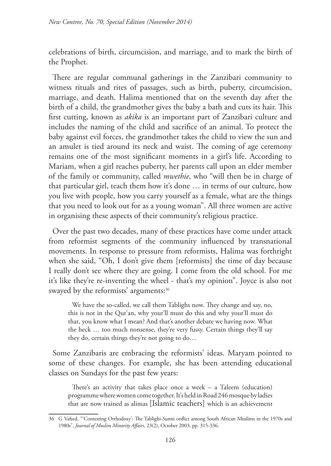celebrations of birth, circumcision, and marriage, and to mark the birth of the Prophet.

There are regular communal gatherings in the Zanzibari community to witness rituals and rites of passages, such as birth, puberty, circumcision, marriage, and death. Halima mentioned that on the seventh day after the birth of a child, the grandmother gives the baby a bath and cuts its hair. This first cutting, known as *akika* is an important part of Zanzibari culture and includes the naming of the child and sacrifice of an animal. To protect the baby against evil forces, the grandmother takes the child to view the sun and an amulet is tied around its neck and waist. The coming of age ceremony remains one of the most significant moments in a girl's life. According to Mariam, when a girl reaches puberty, her parents call upon an elder member of the family or community, called *mwethie*, who "will then be in charge of that particular girl, teach them how it's done … in terms of our culture, how you live with people, how you carry yourself as a female, what are the things that you need to look out for as a young woman". All three women are active in organising these aspects of their community's religious practice.

Over the past two decades, many of these practices have come under attack from reformist segments of the community influenced by transnational movements. In response to pressure from reformists, Halima was forthright when she said, "Oh, I don't give them [reformists] the time of day because I really don't see where they are going. I come from the old school. For me it's like they're re-inventing the wheel - that's my opinion". Joyce is also not swayed by the reformists' arguments:<sup>36</sup>

We have the so-called, we call them Tablighs now. They change and say, no, this is not in the Qur'an, why your'll must do this and why your'll must do that, you know what I mean? And that's another debate we having now. What the heck … too much nonsense, they're very fussy. Certain things they'll say they do, certain things they're not going to do…

Some Zanzibaris are embracing the reformists' ideas. Maryam pointed to some of these changes. For example, she has been attending educational classes on Sundays for the past few years:

There's an activity that takes place once a week – a Taleem (education) programme where women come together. It's held in Road 246 mosque by ladies that are now trained as alimas [Islamic teachers] which is an achievement

<sup>36</sup> G Vahed, "'Contesting Orthodoxy': The Tablighi-Sunni onflict among South African Muslims in the 1970s and 1980s", *Journal of Muslim Minority Affairs,* 23(2), October 2003, pp. 315-336.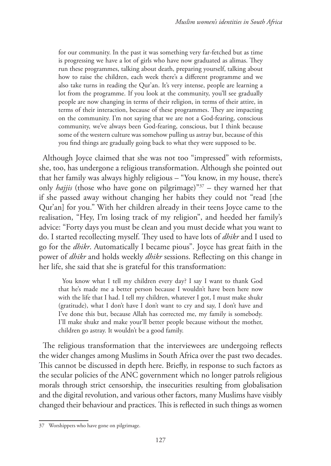for our community. In the past it was something very far-fetched but as time is progressing we have a lot of girls who have now graduated as alimas. They run these programmes, talking about death, preparing yourself, talking about how to raise the children, each week there's a different programme and we also take turns in reading the Qur'an. It's very intense, people are learning a lot from the programme. If you look at the community, you'll see gradually people are now changing in terms of their religion, in terms of their attire, in terms of their interaction, because of these programmes. They are impacting on the community. I'm not saying that we are not a God-fearing, conscious community, we've always been God-fearing, conscious, but I think because some of the western culture was somehow pulling us astray but, because of this you find things are gradually going back to what they were supposed to be.

Although Joyce claimed that she was not too "impressed" with reformists, she, too, has undergone a religious transformation. Although she pointed out that her family was always highly religious – "You know, in my house, there's only *hajjis* (those who have gone on pilgrimage)"37 – they warned her that if she passed away without changing her habits they could not "read [the Qur'an] for you." With her children already in their teens Joyce came to the realisation, "Hey, I'm losing track of my religion", and heeded her family's advice: "Forty days you must be clean and you must decide what you want to do. I started recollecting myself. They used to have lots of *dhikr* and I used to go for the *dhikr*. Automatically I became pious". Joyce has great faith in the power of *dhikr* and holds weekly *dhikr* sessions. Reflecting on this change in her life, she said that she is grateful for this transformation:

You know what I tell my children every day? I say I want to thank God that he's made me a better person because I wouldn't have been here now with the life that I had. I tell my children, whatever I got, I must make shukr (gratitude), what I don't have I don't want to cry and say, I don't have and I've done this but, because Allah has corrected me, my family is somebody. I'll make shukr and make your'll better people because without the mother, children go astray. It wouldn't be a good family.

The religious transformation that the interviewees are undergoing reflects the wider changes among Muslims in South Africa over the past two decades. This cannot be discussed in depth here. Briefly, in response to such factors as the secular policies of the ANC government which no longer patrols religious morals through strict censorship, the insecurities resulting from globalisation and the digital revolution, and various other factors, many Muslims have visibly changed their behaviour and practices. This is reflected in such things as women

<sup>37</sup> Worshippers who have gone on pilgrimage.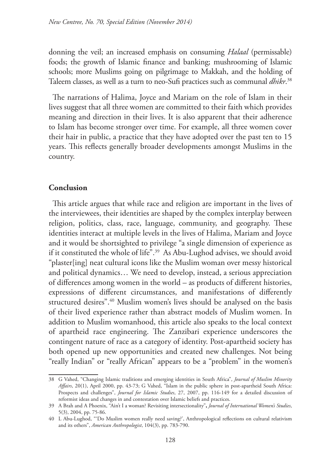donning the veil; an increased emphasis on consuming *Halaal* (permissable) foods; the growth of Islamic finance and banking; mushrooming of Islamic schools; more Muslims going on pilgrimage to Makkah, and the holding of Taleem classes, as well as a turn to neo-Sufi practices such as communal *dhikr*. 38

The narrations of Halima, Joyce and Mariam on the role of Islam in their lives suggest that all three women are committed to their faith which provides meaning and direction in their lives. It is also apparent that their adherence to Islam has become stronger over time. For example, all three women cover their hair in public, a practice that they have adopted over the past ten to 15 years. This reflects generally broader developments amongst Muslims in the country.

# **Conclusion**

This article argues that while race and religion are important in the lives of the interviewees, their identities are shaped by the complex interplay between religion, politics, class, race, language, community, and geography. These identities interact at multiple levels in the lives of Halima, Mariam and Joyce and it would be shortsighted to privilege "a single dimension of experience as if it constituted the whole of life".<sup>39</sup> As Abu-Lughod advises, we should avoid "plaster[ing] neat cultural icons like the Muslim woman over messy historical and political dynamics… We need to develop, instead, a serious appreciation of differences among women in the world – as products of different histories, expressions of different circumstances, and manifestations of differently structured desires".<sup>40</sup> Muslim women's lives should be analysed on the basis of their lived experience rather than abstract models of Muslim women. In addition to Muslim womanhood, this article also speaks to the local context of apartheid race engineering. The Zanzibari experience underscores the contingent nature of race as a category of identity. Post-apartheid society has both opened up new opportunities and created new challenges. Not being "really Indian" or "really African" appears to be a "problem" in the women's

<sup>38</sup> G Vahed, "Changing Islamic traditions and emerging identities in South Africa", *Journal of Muslim Minority Affairs*, 20(1), April 2000, pp. 43-73; G Vahed, "Islam in the public sphere in post-apartheid South Africa: Prospects and challenges", *Journal for Islamic Studies*, 27, 2007, pp. 116-149 for a detailed discussion of reformist ideas and changes in and contestation over Islamic beliefs and practices.

<sup>39</sup> A Brah and A Phoenix, "Ain't I a woman? Revisiting intersectionality"**,** *Journal of International Women's Studies*, 5(3), 2004, pp. 75-86.

<sup>40</sup> L Abu-Lughod, "'Do Muslim women really need saving?', Anthropological reflections on cultural relativism and its others", *American Anthropologist*, 104(3), pp. 783-790.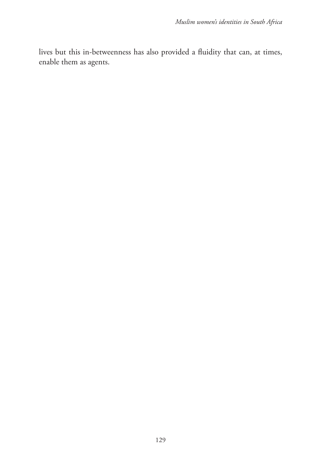lives but this in-betweenness has also provided a fluidity that can, at times, enable them as agents.